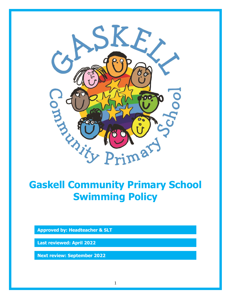

# **Gaskell Community Primary School Swimming Policy**

**Approved by: Headteacher & SLT**

**Last reviewed: April 2022**

**Next review: September 2022**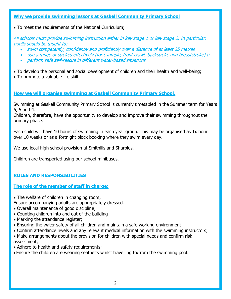#### **Why we provide swimming lessons at Gaskell Community Primary School**

To meet the requirements of the National Curriculum;

All schools must provide swimming instruction either in key stage 1 or key stage 2. In particular, pupils should be taught to:

- swim competently, confidently and proficiently over a distance of at least 25 metres
- use a range of strokes effectively [for example, front crawl, backstroke and breaststroke] o
- perform safe self-rescue in different water-based situations
- To develop the personal and social development of children and their health and well-being;
- To promote a valuable life skill

## **How we will organise swimming at Gaskell Community Primary School.**

Swimming at Gaskell Community Primary School is currently timetabled in the Summer term for Years 6, 5 and 4.

Children, therefore, have the opportunity to develop and improve their swimming throughout the primary phase.

Each child will have 10 hours of swimming in each year group. This may be organised as 1x hour over 10 weeks or as a fortnight block booking where they swim every day.

We use local high school provision at Smithills and Sharples.

Children are transported using our school minibuses.

# **ROLES AND RESPONSIBILITIES**

## **The role of the member of staff in charge:**

• The welfare of children in changing room;

Ensure accompanying adults are appropriately dressed.

- Overall maintenance of good discipline;
- Counting children into and out of the building
- Marking the attendance register;
- Ensuring the water safety of all children and maintain a safe working environment
- Confirm attendance levels and any relevant medical information with the swimming instructors;
- Make arrangements about the provision for children with special needs and confirm risk assessment;
- Adhere to health and safety requirements;
- Ensure the children are wearing seatbelts whilst travelling to/from the swimming pool.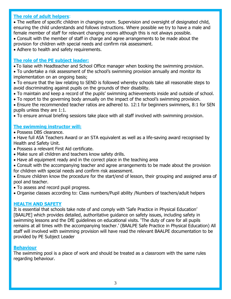#### **The role of adult helpers**:

 The welfare of specific children in changing room. Supervision and oversight of designated child, ensuring the child understands and follows instructions. Where possible we try to have a male and female member of staff for relevant changing rooms although this is not always possible.

 Consult with the member of staff in charge and agree arrangements to be made about the provision for children with special needs and confirm risk assessment.

• Adhere to health and safety requirements.

#### **The role of the PE subject leader:**

- To liaise with Headteacher and School Office manager when booking the swimming provision.
- To undertake a risk assessment of the school's swimming provision annually and monitor its implementation on an ongoing basis;
- To ensure that the law relating to SEND is followed whereby schools take all reasonable steps to avoid discriminating against pupils on the grounds of their disability.
- To maintain and keep a record of the pupils' swimming achievements inside and outside of school.
- To report to the governing body annually on the impact of the school's swimming provision.
- Ensure the recommended teacher ratios are adhered to. 12:1 for beginners swimmers, 8:1 for SEN pupils unless they are 1:1.

To ensure annual briefing sessions take place with all staff involved with swimming provision.

#### **The swimming instructor will:**

- Possess DBS clearance.
- Have full ASA Teachers Award or an STA equivalent as well as a life-saving award recognised by Health and Safety Unit.
- Possess a relevant First Aid certificate.
- Make sure all children and teachers know safety drills.
- Have all equipment ready and in the correct place in the teaching area
- Consult with the accompanying teacher and agree arrangements to be made about the provision for children with special needs and confirm risk assessment.
- Ensure children know the procedure for the start/end of lesson, their grouping and assigned area of pool and teacher.
- To assess and record pupil progress.
- Organise classes according to: Class numbers/Pupil ability /Numbers of teachers/adult helpers

#### **HEALTH AND SAFETY**

It is essential that schools take note of and comply with 'Safe Practice in Physical Education' [BAALPE] which provides detailed, authoritative guidance on safety issues, including safety in swimming lessons and the DfE guidelines on educational visits. 'The duty of care for all pupils remains at all times with the accompanying teacher.' (BAALPE Safe Practice in Physical Education) All staff will involved with swimming provision will have read the relevant BAALPE documentation to be provided by PE Subject Leader

#### **Behaviour**

The swimming pool is a place of work and should be treated as a classroom with the same rules regarding behaviour.